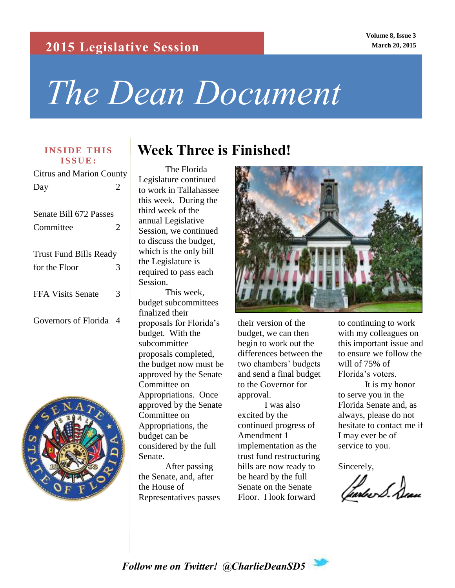### **2015 Legislative Session**

**Volume 8, Issue 3 March 20, 2015**

# *The Dean Document*

# **I S S U E :**

Citrus and Marion County Day 2

| Senate Bill 672 Passes        |   |
|-------------------------------|---|
| Committee                     | 2 |
| <b>Trust Fund Bills Ready</b> |   |
| for the Floor                 | 3 |
| <b>FFA Visits Senate</b>      | 3 |
| Governors of Florida          | 4 |



# **INSIDE THIS Week Three is Finished!**

The Florida Legislature continued to work in Tallahassee this week. During the third week of the annual Legislative Session, we continued to discuss the budget, which is the only bill the Legislature is required to pass each Session. This week, budget subcommittees finalized their

proposals for Florida's budget. With the subcommittee proposals completed, the budget now must be approved by the Senate Committee on Appropriations. Once approved by the Senate Committee on Appropriations, the budget can be considered by the full Senate.

After passing the Senate, and, after the House of Representatives passes



their version of the budget, we can then begin to work out the differences between the two chambers' budgets and send a final budget to the Governor for approval.

I was also excited by the continued progress of Amendment 1 implementation as the trust fund restructuring bills are now ready to be heard by the full Senate on the Senate Floor. I look forward

to continuing to work with my colleagues on this important issue and to ensure we follow the will of 75% of Florida's voters.

It is my honor to serve you in the Florida Senate and, as always, please do not hesitate to contact me if I may ever be of service to you.

Sincerely,

Jartre S. Deau

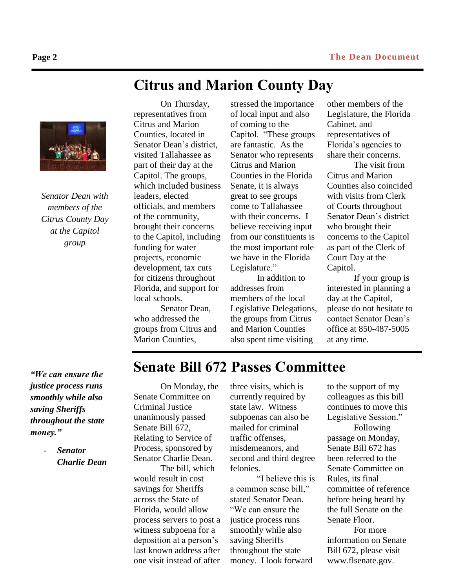*Senator Dean with members of the Citrus County Day at the Capitol group*

*"We can ensure the justice process runs smoothly while also saving Sheriffs throughout the state money."*

> - *Senator Charlie Dean*

# **Citrus and Marion County Day**

On Thursday, representatives from Citrus and Marion Counties, located in Senator Dean's district, visited Tallahassee as part of their day at the Capitol. The groups, which included business leaders, elected officials, and members of the community, brought their concerns to the Capitol, including funding for water projects, economic development, tax cuts for citizens throughout Florida, and support for local schools.

Senator Dean, who addressed the groups from Citrus and Marion Counties,

stressed the importance of local input and also of coming to the Capitol. "These groups are fantastic. As the Senator who represents Citrus and Marion Counties in the Florida Senate, it is always great to see groups come to Tallahassee with their concerns. I believe receiving input from our constituents is the most important role we have in the Florida Legislature."

In addition to addresses from members of the local Legislative Delegations, the groups from Citrus and Marion Counties also spent time visiting

other members of the Legislature, the Florida Cabinet, and representatives of Florida's agencies to share their concerns.

The visit from Citrus and Marion Counties also coincided with visits from Clerk of Courts throughout Senator Dean's district who brought their concerns to the Capitol as part of the Clerk of Court Day at the Capitol.

If your group is interested in planning a day at the Capitol, please do not hesitate to contact Senator Dean's office at 850-487-5005 at any time.

# **Senate Bill 672 Passes Committee**

On Monday, the Senate Committee on Criminal Justice unanimously passed Senate Bill 672, Relating to Service of Process, sponsored by Senator Charlie Dean.

The bill, which would result in cost savings for Sheriffs across the State of Florida, would allow process servers to post a witness subpoena for a deposition at a person's last known address after one visit instead of after

three visits, which is currently required by state law. Witness subpoenas can also be mailed for criminal traffic offenses, misdemeanors, and second and third degree felonies.

"I believe this is a common sense bill," stated Senator Dean. "We can ensure the justice process runs smoothly while also saving Sheriffs throughout the state money. I look forward

to the support of my colleagues as this bill continues to move this Legislative Session." Following passage on Monday, Senate Bill 672 has been referred to the Senate Committee on Rules, its final committee of reference before being heard by the full Senate on the

Senate Floor. For more information on Senate Bill 672, please visit www.flsenate.gov.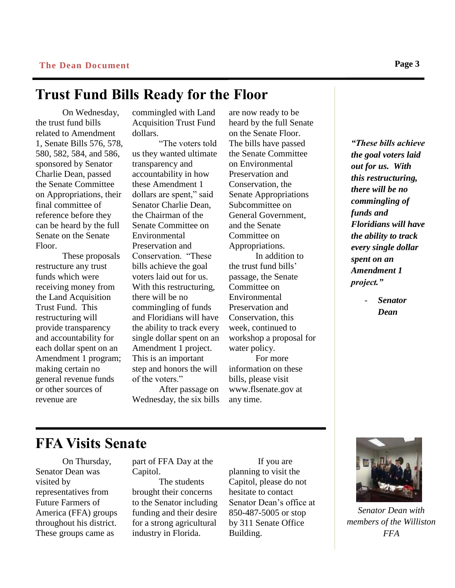### **Trust Fund Bills Ready for the Floor**

On Wednesday, the trust fund bills related to Amendment 1, Senate Bills 576, 578, 580, 582, 584, and 586, sponsored by Senator Charlie Dean, passed the Senate Committee on Appropriations, their final committee of reference before they can be heard by the full Senate on the Senate Floor.

These proposals restructure any trust funds which were receiving money from the Land Acquisition Trust Fund. This restructuring will provide transparency and accountability for each dollar spent on an Amendment 1 program; making certain no general revenue funds or other sources of revenue are

commingled with Land Acquisition Trust Fund dollars.

"The voters told us they wanted ultimate transparency and accountability in how these Amendment 1 dollars are spent," said Senator Charlie Dean, the Chairman of the Senate Committee on Environmental Preservation and Conservation. "These bills achieve the goal voters laid out for us. With this restructuring, there will be no commingling of funds and Floridians will have the ability to track every single dollar spent on an Amendment 1 project. This is an important step and honors the will of the voters."

After passage on Wednesday, the six bills

are now ready to be heard by the full Senate on the Senate Floor. The bills have passed the Senate Committee on Environmental Preservation and Conservation, the Senate Appropriations Subcommittee on General Government, and the Senate Committee on Appropriations. In addition to the trust fund bills' passage, the Senate Committee on Environmental Preservation and Conservation, this week, continued to workshop a proposal for water policy. For more information on these bills, please visit www.flsenate.gov at any time.

*"These bills achieve the goal voters laid out for us. With this restructuring, there will be no commingling of funds and Floridians will have the ability to track every single dollar spent on an Amendment 1 project."*

> - *Senator Dean*

**FFA Visits Senate**

On Thursday, Senator Dean was visited by representatives from Future Farmers of America (FFA) groups throughout his district. These groups came as

part of FFA Day at the Capitol.

The students brought their concerns to the Senator including funding and their desire for a strong agricultural industry in Florida.

If you are planning to visit the Capitol, please do not hesitate to contact Senator Dean's office at 850-487-5005 or stop by 311 Senate Office Building.



*Senator Dean with members of the Williston FFA*